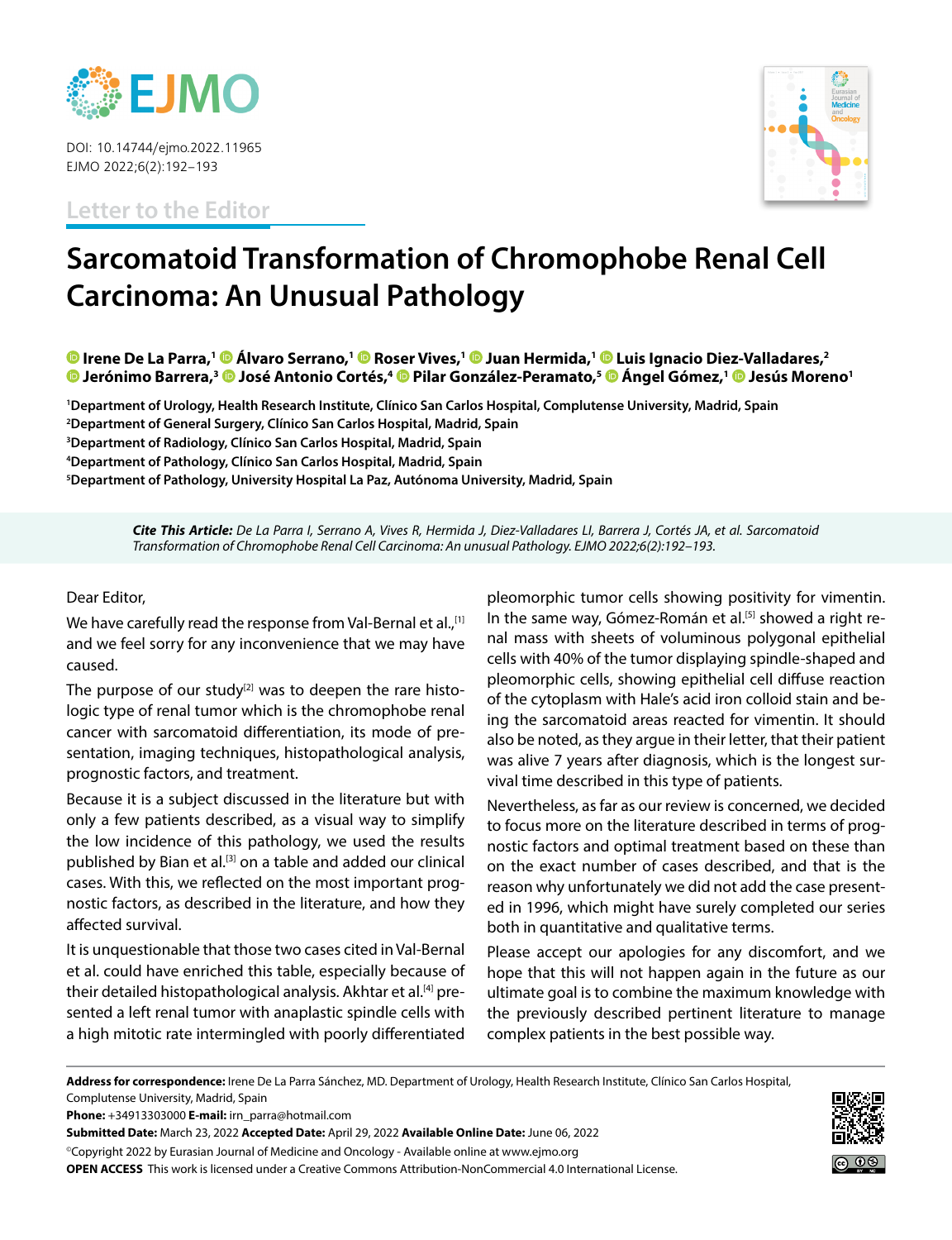

DOI: 10.14744/ejmo.2022.11965 EJMO 2022;6(2):192–193

**Letter to the Editor**



## **Sarcomatoid Transformation of Chromophobe Renal Cell Carcinoma: An Unusual Pathology**

**O** Irene De La Parra,<sup>1</sup> **O** Álvaro Serrano,<sup>1</sup> O Roser Vives,<sup>1</sup> O Juan Hermida,<sup>1</sup> O Luis Ignacio Diez-Valladares,<sup>2</sup> **D** Jerónimo Barrera,<sup>3</sup> **D** José Antonio Cortés,<sup>4</sup> D Pilar González-Peramato,<sup>5</sup> D Ángel Gómez,<sup>1</sup> D Jesús Moreno<sup>1</sup>

 **Department of Urology, Health Research Institute, Clínico San Carlos Hospital, Complutense University, Madrid, Spain Department of General Surgery, Clínico San Carlos Hospital, Madrid, Spain Department of Radiology, Clínico San Carlos Hospital, Madrid, Spain Department of Pathology, Clínico San Carlos Hospital, Madrid, Spain Department of Pathology, University Hospital La Paz, Autónoma University, Madrid, Spain**

*Cite This Article: De La Parra I, Serrano A, Vives R, Hermida J, Diez-Valladares LI, Barrera J, Cortés JA, et al. Sarcomatoid Transformation of Chromophobe Renal Cell Carcinoma: An unusual Pathology. EJMO 2022;6(2):192–193.*

## Dear Editor,

We have carefully read the response from Val-Bernal et al.,<sup>[1]</sup> and we feel sorry for any inconvenience that we may have caused.

The purpose of our study $[2]$  was to deepen the rare histologic type of renal tumor which is the chromophobe renal cancer with sarcomatoid differentiation, its mode of presentation, imaging techniques, histopathological analysis, prognostic factors, and treatment.

Because it is a subject discussed in the literature but with only a few patients described, as a visual way to simplify the low incidence of this pathology, we used the results published by Bian et al.<sup>[3]</sup> on a table and added our clinical cases. With this, we reflected on the most important prognostic factors, as described in the literature, and how they affected survival.

It is unquestionable that those two cases cited in Val-Bernal et al. could have enriched this table, especially because of their detailed histopathological analysis. Akhtar et al.<sup>[4]</sup> presented a left renal tumor with anaplastic spindle cells with a high mitotic rate intermingled with poorly differentiated

pleomorphic tumor cells showing positivity for vimentin. In the same way, Gómez-Román et al.<sup>[5]</sup> showed a right renal mass with sheets of voluminous polygonal epithelial cells with 40% of the tumor displaying spindle-shaped and pleomorphic cells, showing epithelial cell diffuse reaction of the cytoplasm with Hale's acid iron colloid stain and being the sarcomatoid areas reacted for vimentin. It should also be noted, as they argue in their letter, that their patient was alive 7 years after diagnosis, which is the longest survival time described in this type of patients.

Nevertheless, as far as our review is concerned, we decided to focus more on the literature described in terms of prognostic factors and optimal treatment based on these than on the exact number of cases described, and that is the reason why unfortunately we did not add the case presented in 1996, which might have surely completed our series both in quantitative and qualitative terms.

Please accept our apologies for any discomfort, and we hope that this will not happen again in the future as our ultimate goal is to combine the maximum knowledge with the previously described pertinent literature to manage complex patients in the best possible way.

**Address for correspondence:** Irene De La Parra Sánchez, MD. Department of Urology, Health Research Institute, Clínico San Carlos Hospital, Complutense University, Madrid, Spain

**Phone:** +34913303000 **E-mail:** irn\_parra@hotmail.com

**Submitted Date:** March 23, 2022 **Accepted Date:** April 29, 2022 **Available Online Date:** June 06, 2022

©Copyright 2022 by Eurasian Journal of Medicine and Oncology - Available online at www.ejmo.org **OPEN ACCESS** This work is licensed under a Creative Commons Attribution-NonCommercial 4.0 International License.